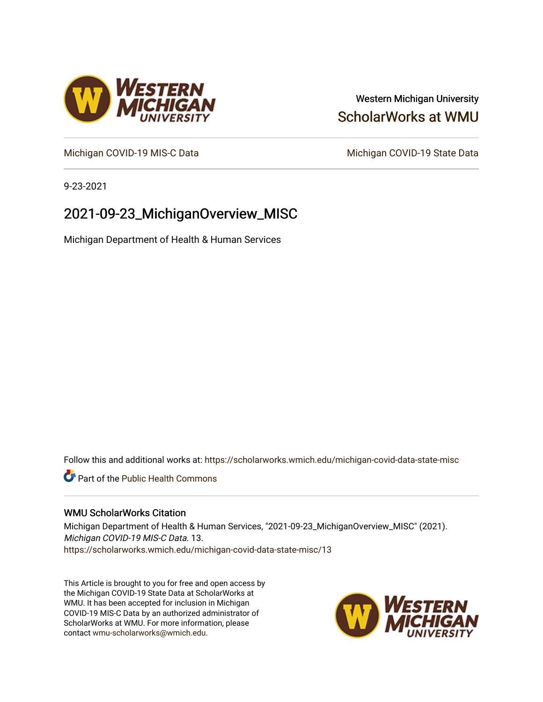## Western Michigan University [ScholarWorks at WMU](https://scholarworks.wmich.edu/)

[Michigan COVID-19 MIS-C Data](https://scholarworks.wmich.edu/michigan-covid-data-state-misc) Michigan COVID-19 State Data

9-23-2021

# 2021-09-23\_MichiganOverview\_MISC

Michigan Department of Health & Human Services

Follow this and additional works at: [https://scholarworks.wmich.edu/michigan-covid-data-state-misc](https://scholarworks.wmich.edu/michigan-covid-data-state-misc?utm_source=scholarworks.wmich.edu%2Fmichigan-covid-data-state-misc%2F13&utm_medium=PDF&utm_campaign=PDFCoverPages) 

**Part of the Public Health Commons** 

#### WMU ScholarWorks Citation

Michigan Department of Health & Human Services, "2021-09-23\_MichiganOverview\_MISC" (2021). Michigan COVID-19 MIS-C Data. 13. [https://scholarworks.wmich.edu/michigan-covid-data-state-misc/13](https://scholarworks.wmich.edu/michigan-covid-data-state-misc/13?utm_source=scholarworks.wmich.edu%2Fmichigan-covid-data-state-misc%2F13&utm_medium=PDF&utm_campaign=PDFCoverPages)

This Article is brought to you for free and open access by the Michigan COVID-19 State Data at ScholarWorks at WMU. It has been accepted for inclusion in Michigan COVID-19 MIS-C Data by an authorized administrator of ScholarWorks at WMU. For more information, please contact [wmu-scholarworks@wmich.edu](mailto:wmu-scholarworks@wmich.edu).



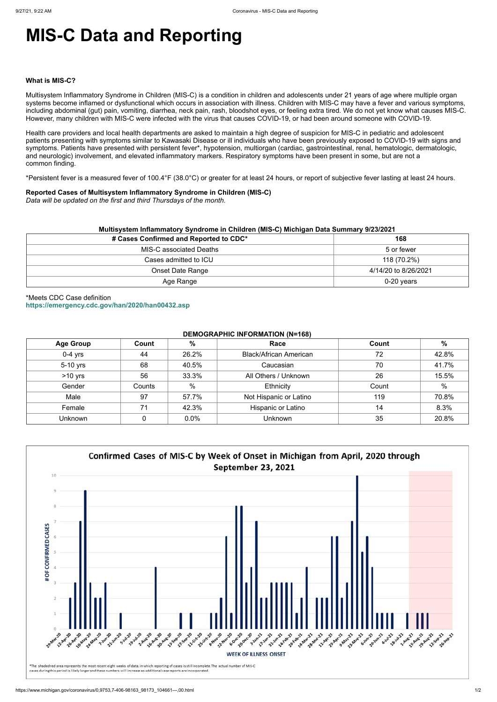# **MIS-C Data and Reporting**

#### **What is MIS-C?**

Multisystem Inflammatory Syndrome in Children (MIS-C) is a condition in children and adolescents under 21 years of age where multiple organ systems become inflamed or dysfunctional which occurs in association with illness. Children with MIS-C may have a fever and various symptoms, including abdominal (gut) pain, vomiting, diarrhea, neck pain, rash, bloodshot eyes, or feeling extra tired. We do not yet know what causes MIS-C. However, many children with MIS-C were infected with the virus that causes COVID-19, or had been around someone with COVID-19.

Health care providers and local health departments are asked to maintain a high degree of suspicion for MIS-C in pediatric and adolescent patients presenting with symptoms similar to Kawasaki Disease or ill individuals who have been previously exposed to COVID-19 with signs and symptoms. Patients have presented with persistent fever\*, hypotension, multiorgan (cardiac, gastrointestinal, renal, hematologic, dermatologic, and neurologic) involvement, and elevated inflammatory markers. Respiratory symptoms have been present in some, but are not a common finding.

\*Persistent fever is a measured fever of 100.4°F (38.0°C) or greater for at least 24 hours, or report of subjective fever lasting at least 24 hours.

#### **Reported Cases of Multisystem Inflammatory Syndrome in Children (MIS-C)**

*Data will be updated on the first and third Thursdays of the month.*

| Multisystem Inflammatory Syndrome in Children (MIS-C) Michigan Data Summary 9/23/2021 |                      |  |  |  |
|---------------------------------------------------------------------------------------|----------------------|--|--|--|
| # Cases Confirmed and Reported to CDC*                                                | 168                  |  |  |  |
| <b>MIS-C associated Deaths</b>                                                        | 5 or fewer           |  |  |  |
| Cases admitted to ICU                                                                 | 118 (70.2%)          |  |  |  |
| <b>Onset Date Range</b>                                                               | 4/14/20 to 8/26/2021 |  |  |  |
| Age Range                                                                             | $0-20$ years         |  |  |  |

\*Meets CDC Case definition **<https://emergency.cdc.gov/han/2020/han00432.asp>**

#### **DEMOGRAPHIC INFORMATION (N=168)**

| <b>Age Group</b> | Count  | %     | Race                          | Count | $\%$  |
|------------------|--------|-------|-------------------------------|-------|-------|
| $0-4$ yrs        | 44     | 26.2% | <b>Black/African American</b> | 72    | 42.8% |
| 5-10 yrs         | 68     | 40.5% | Caucasian                     | 70    | 41.7% |
| $>10$ yrs        | 56     | 33.3% | All Others / Unknown          | 26    | 15.5% |
| Gender           | Counts | %     | Ethnicity                     | Count | $\%$  |
| Male             | 97     | 57.7% | Not Hispanic or Latino        | 119   | 70.8% |
| Female           | 71     | 42.3% | Hispanic or Latino            | 14    | 8.3%  |
| Unknown          |        | 0.0%  | Unknown                       | 35    | 20.8% |